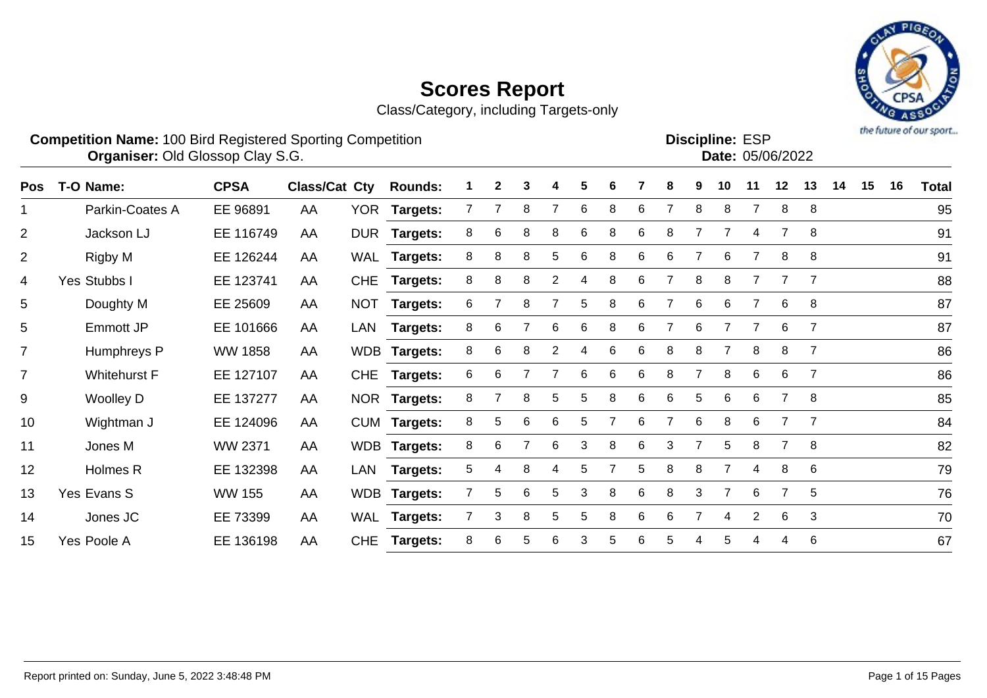Class/Category, including Targets-only



#### **Competition Name:** 100 Bird Registered Sporting Competition **EXP EXP Competition EXP Organiser:** Old Glossop Clay S.G. **Community Contract Contract Contract Contract Contract Contract Contract Contract Contract Contract Contract Contract Contract Contract Contract Contract Contract Contract Contract Contr** Discipline: ESP<br>Date: 05/06/2022

| <b>Pos</b>     | T-O Name:           | <b>CPSA</b>    | <b>Class/Cat Cty</b> |            | <b>Rounds:</b>  |                | $\mathbf{2}$ | 3 | 4              | 5               | 6 |   | 8              |                | 10             | 11             | 12             | 13             | 14 | 15 | 16 | <b>Total</b> |
|----------------|---------------------|----------------|----------------------|------------|-----------------|----------------|--------------|---|----------------|-----------------|---|---|----------------|----------------|----------------|----------------|----------------|----------------|----|----|----|--------------|
|                | Parkin-Coates A     | EE 96891       | AA                   |            | YOR Targets:    |                |              | 8 |                | 6               | 8 | 6 | 7              | 8              | 8              |                | 8              | 8              |    |    |    | 95           |
| $\overline{2}$ | Jackson LJ          | EE 116749      | AA                   |            | DUR Targets:    | 8              | 6            | 8 | 8              | 6               | 8 | 6 | 8              |                | 7              | 4              |                | 8              |    |    |    | 91           |
| $\overline{2}$ | Rigby M             | EE 126244      | AA                   | WAL        | <b>Targets:</b> | 8              | 8            | 8 | 5              | $6\phantom{1}6$ | 8 | 6 | 6              |                | 6              | $\overline{7}$ | 8              | 8              |    |    |    | 91           |
| 4              | Yes Stubbs I        | EE 123741      | AA                   | <b>CHE</b> | Targets:        | 8              | 8            | 8 | 2              |                 | 8 | 6 |                | 8              | 8              |                |                | $\overline{7}$ |    |    |    | 88           |
| 5              | Doughty M           | EE 25609       | AA                   | <b>NOT</b> | <b>Targets:</b> | 6              |              | 8 |                | 5               | 8 | 6 | $\overline{7}$ | 6              | 6              | $\overline{7}$ | 6              | 8              |    |    |    | 87           |
| 5              | <b>Emmott JP</b>    | EE 101666      | AA                   | LAN        | Targets:        | 8              | 6            |   | 6              | 6               | 8 | 6 |                | 6              |                |                | 6              | $\overline{7}$ |    |    |    | 87           |
| $\overline{7}$ | Humphreys P         | <b>WW 1858</b> | AA                   |            | WDB Targets:    | 8              | 6            | 8 | $\overline{2}$ |                 | 6 | 6 | 8              | 8              |                | 8              | 8              | 7              |    |    |    | 86           |
| $\overline{7}$ | <b>Whitehurst F</b> | EE 127107      | AA                   | <b>CHE</b> | <b>Targets:</b> | 6              | 6            |   |                | 6               | 6 | 6 | 8              | $\overline{7}$ | 8              | 6              | 6              | $\overline{7}$ |    |    |    | 86           |
| 9              | <b>Woolley D</b>    | EE 137277      | AA                   |            | NOR Targets:    | 8              |              | 8 | 5              | 5               | 8 | 6 | 6              | 5              | 6              | 6              | $\overline{7}$ | 8              |    |    |    | 85           |
| 10             | Wightman J          | EE 124096      | AA                   |            | CUM Targets:    | 8              | 5            | 6 | 6              | 5               |   | 6 | 7              | 6              | 8              | 6              |                | -7             |    |    |    | 84           |
| 11             | Jones M             | <b>WW 2371</b> | AA                   |            | WDB Targets:    | 8              | 6            | 7 | 6              | 3               | 8 | 6 | 3              |                | 5              | 8              | $\overline{7}$ | 8              |    |    |    | 82           |
| 12             | Holmes R            | EE 132398      | AA                   | LAN        | Targets:        | 5              | 4            | 8 |                | 5               |   | 5 | 8              | 8              | $\overline{7}$ | 4              | 8              | 6              |    |    |    | 79           |
| 13             | Yes Evans S         | <b>WW 155</b>  | AA                   | <b>WDB</b> | <b>Targets:</b> |                | 5            | 6 | 5.             | 3               | 8 | 6 | 8              | 3              |                | 6              |                | 5              |    |    |    | 76           |
| 14             | Jones JC            | EE 73399       | AA                   |            | WAL Targets:    | $\overline{7}$ | 3            | 8 | 5              | 5               | 8 | 6 | 6              | 7              | 4              | $\overline{2}$ | 6              | 3              |    |    |    | 70           |
| 15             | Yes Poole A         | EE 136198      | AA                   | <b>CHE</b> | Targets:        | 8              | 6            | 5 | 6              | 3               | 5 | 6 | 5              |                | 5              |                | 4              | 6              |    |    |    | 67           |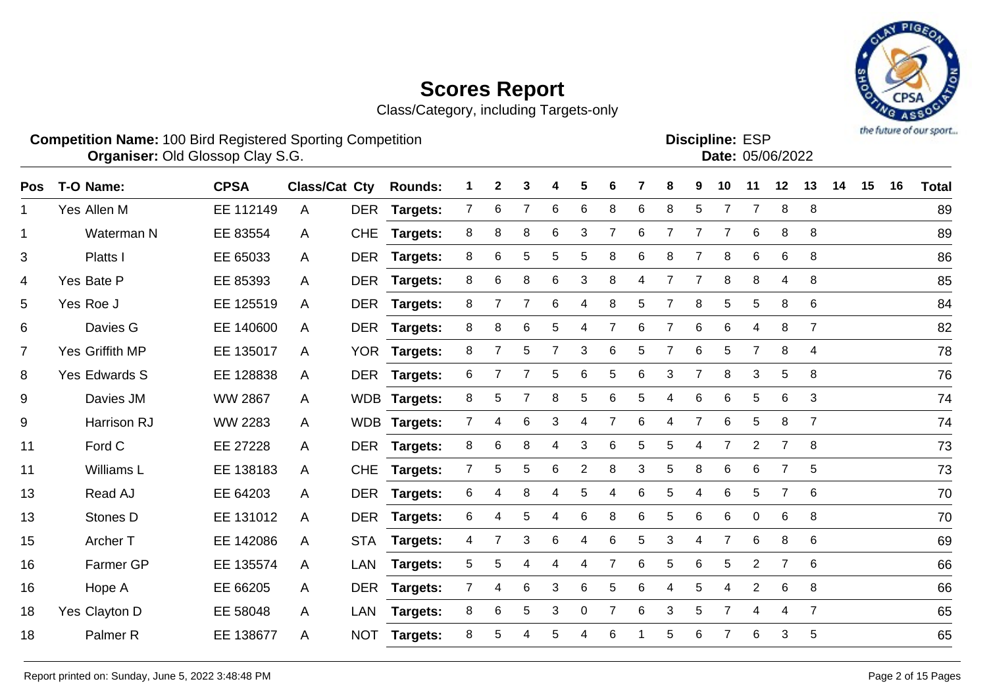Class/Category, including Targets-only



**Competition Name:** 100 Bird Registered Sporting Competition **EXP EXP Competition EXP Organiser:** Old Glossop Clay S.G. **Community Contract Contract Contract Contract Contract Contract Contract Contract Contract Contract Contract Contract Contract Contract Contract Contract Contract Contract Contract Contr** 

Discipline: ESP<br>Date: 05/06/2022

| Pos            | T-O Name:           | <b>CPSA</b>    | Class/Cat Cty |            | <b>Rounds:</b>  | 1              | $\mathbf{2}$   | 3 | 4              | 5              | 6 |    | 8              | 9              | 10             | 11             | 12             | 13             | 14 | 15 | 16 | <b>Total</b> |
|----------------|---------------------|----------------|---------------|------------|-----------------|----------------|----------------|---|----------------|----------------|---|----|----------------|----------------|----------------|----------------|----------------|----------------|----|----|----|--------------|
| 1              | Yes Allen M         | EE 112149      | A             | <b>DER</b> | <b>Targets:</b> | $\overline{7}$ | 6              | 7 | 6              | 6              | 8 | 6  | 8              | 5              | 7              | 7              | 8              | 8              |    |    |    | 89           |
| $\mathbf 1$    | Waterman N          | EE 83554       | A             | <b>CHE</b> | Targets:        | 8              | 8              | 8 | 6              | 3              | 7 | 6  | 7              | 7              | 7              | 6              | 8              | 8              |    |    |    | 89           |
| 3              | <b>Platts I</b>     | EE 65033       | A             | <b>DER</b> | <b>Targets:</b> | 8              | 6              | 5 | 5              | 5              | 8 | 6  | 8              | 7              | 8              | 6              | 6              | 8              |    |    |    | 86           |
| 4              | Yes Bate P          | EE 85393       | A             | <b>DER</b> | <b>Targets:</b> | 8              | 6              | 8 | 6              | 3              | 8 | 4  | $\overline{7}$ | $\overline{7}$ | 8              | 8              | 4              | 8              |    |    |    | 85           |
| 5              | Yes Roe J           | EE 125519      | A             | <b>DER</b> | <b>Targets:</b> | 8              |                |   | 6              | 4              | 8 | 5  | 7              | 8              | 5              | 5              | 8              | 6              |    |    |    | 84           |
| 6              | Davies G            | EE 140600      | A             | <b>DER</b> | Targets:        | 8              | 8              | 6 | 5              | 4              | 7 | 6  | 7              | 6              | 6              | 4              | 8              | $\overline{7}$ |    |    |    | 82           |
| $\overline{7}$ | Yes Griffith MP     | EE 135017      | A             |            | YOR Targets:    | 8              | $\overline{7}$ | 5 | $\overline{7}$ | 3              | 6 | 5  | $\overline{7}$ | $\,6$          | 5              | $\overline{7}$ | 8              | 4              |    |    |    | 78           |
| 8              | Yes Edwards S       | EE 128838      | $\mathsf{A}$  |            | DER Targets:    | 6              | 7              | 7 | 5              | $\,6$          | 5 | 6  | 3              | $\overline{7}$ | 8              | 3              | 5              | 8              |    |    |    | 76           |
| 9              | Davies JM           | <b>WW 2867</b> | A             |            | WDB Targets:    | 8              | 5              | 7 | 8              | 5              | 6 | 5. | 4              | 6              | 6              | 5              | 6              | 3              |    |    |    | 74           |
| 9              | Harrison RJ         | WW 2283        | A             |            | WDB Targets:    | 7              | 4              | 6 | 3              | 4              | 7 | 6  | 4              | $\overline{7}$ | 6              | 5              | 8              | $\overline{7}$ |    |    |    | 74           |
| 11             | Ford C              | EE 27228       | A             | <b>DER</b> | <b>Targets:</b> | 8              | 6              | 8 | 4              | 3              | 6 | 5  | 5              | 4              | $\overline{7}$ | $\overline{2}$ | $\overline{7}$ | 8              |    |    |    | 73           |
| 11             | Williams L          | EE 138183      | A             | <b>CHE</b> | <b>Targets:</b> | $\overline{7}$ | 5              | 5 | 6              | $\overline{2}$ | 8 | 3  | 5              | 8              | 6              | 6              | 7              | 5              |    |    |    | 73           |
| 13             | Read AJ             | EE 64203       | A             | <b>DER</b> | <b>Targets:</b> | 6              | 4              | 8 | 4              | 5              | 4 | 6  | 5              | 4              | 6              | 5              | $\overline{7}$ | 6              |    |    |    | 70           |
| 13             | Stones D            | EE 131012      | A             |            | DER Targets:    | 6              | 4              | 5 | 4              | $\,6$          | 8 | 6  | 5              | 6              | 6              | $\mathbf 0$    | 6              | 8              |    |    |    | 70           |
| 15             | Archer T            | EE 142086      | $\mathsf{A}$  | <b>STA</b> | Targets:        | 4              | $\overline{7}$ | 3 | 6              | 4              | 6 | 5  | 3              | 4              | $\overline{7}$ | 6              | 8              | 6              |    |    |    | 69           |
| 16             | Farmer GP           | EE 135574      | $\mathsf{A}$  | LAN        | <b>Targets:</b> | 5              | 5              | 4 | 4              | 4              | 7 | 6  | 5              | 6              | 5              | $\overline{c}$ | $\overline{7}$ | 6              |    |    |    | 66           |
| 16             | Hope A              | EE 66205       | A             | <b>DER</b> | <b>Targets:</b> | $\mathbf{7}$   | 4              | 6 | 3              | 6              | 5 | 6  | 4              | 5              | 4              | $\overline{2}$ | 6              | 8              |    |    |    | 66           |
| 18             | Yes Clayton D       | EE 58048       | A             | <b>LAN</b> | Targets:        | 8              | 6              | 5 | 3              | $\mathbf 0$    | 7 | 6  | 3              | 5              | 7              | 4              | 4              | $\overline{7}$ |    |    |    | 65           |
| 18             | Palmer <sub>R</sub> | EE 138677      | A             | <b>NOT</b> | Targets:        | 8              | 5              |   | 5              |                | 6 |    | 5              | 6              |                | 6              | 3              | 5              |    |    |    | 65           |
|                |                     |                |               |            |                 |                |                |   |                |                |   |    |                |                |                |                |                |                |    |    |    |              |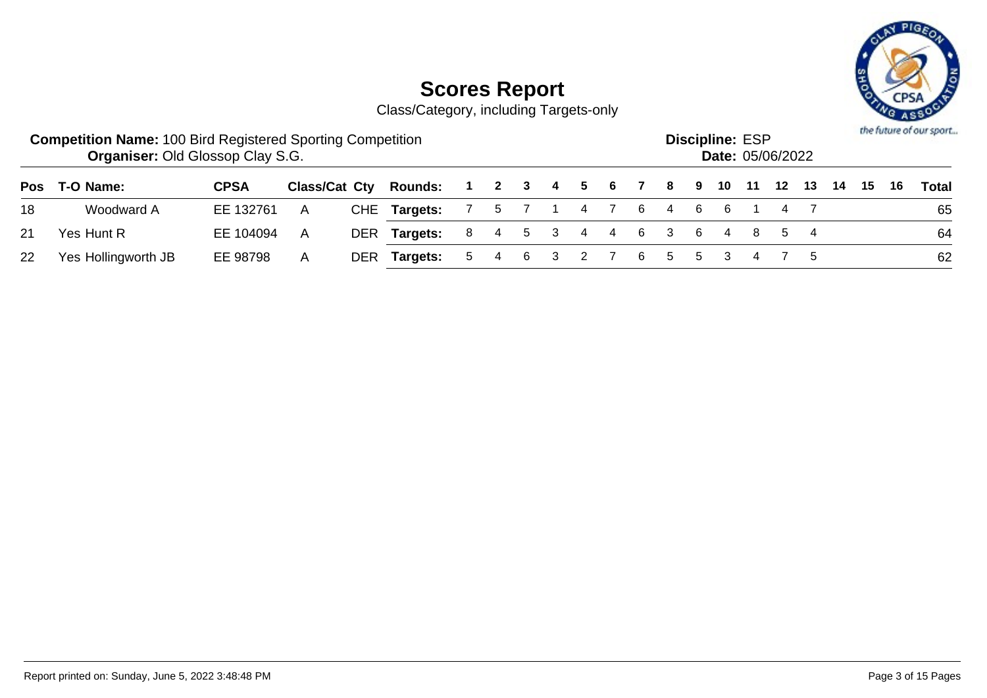

|                 | <b>Competition Name: 100 Bird Registered Sporting Competition</b><br><b>Organiser: Old Glossop Clay S.G.</b> |             |   |     |                                               |                           |  |  |  |                           | <b>Discipline: ESP</b><br><b>Date: 05/06/2022</b> |  |  |  | the future of our sport |
|-----------------|--------------------------------------------------------------------------------------------------------------|-------------|---|-----|-----------------------------------------------|---------------------------|--|--|--|---------------------------|---------------------------------------------------|--|--|--|-------------------------|
|                 | Pos T-O Name:                                                                                                | <b>CPSA</b> |   |     | Class/Cat Cty Rounds: 1 2 3 4 5 6 7 8 9 10 11 |                           |  |  |  |                           |                                                   |  |  |  | Total                   |
| 18              | Woodward A                                                                                                   | EE 132761   | A |     | CHE Targets:                                  | 7 5 7 1 4 7 6 4 6 6 1 4 7 |  |  |  |                           |                                                   |  |  |  | 65                      |
| 21              | Yes Hunt R                                                                                                   | EE 104094   | A |     | DER Targets:                                  |                           |  |  |  | 8 4 5 3 4 4 6 3 6 4 8 5 4 |                                                   |  |  |  | 64                      |
| 22 <sub>2</sub> | Yes Hollingworth JB                                                                                          | EE 98798    | A | DER | Targets:                                      |                           |  |  |  | 5 4 6 3 2 7 6 5 5 3 4 7 5 |                                                   |  |  |  | 62                      |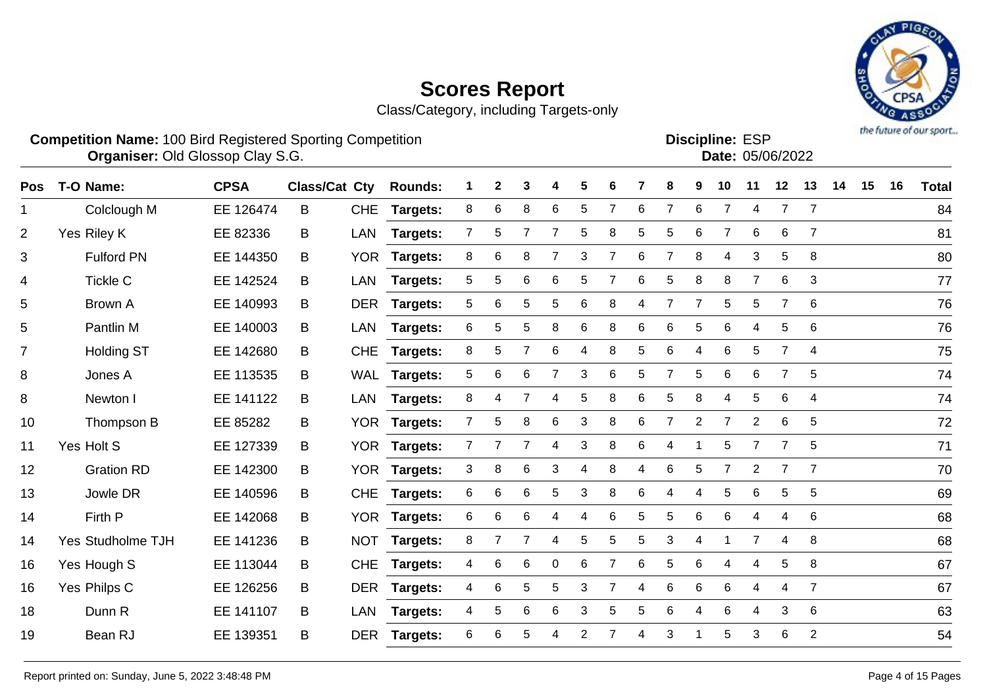Class/Category, including Targets-only



#### **Competition Name:** 100 Bird Registered Sporting Competition **EXP EXP Competition EXP Organiser:** Old Glossop Clay S.G. **Community Contract Contract Contract Contract Contract Contract Contract Contract Contract Contract Contract Contract Contract Contract Contract Contract Contract Contract Contract Contr**

**Discipline: ESP<br>
Date: 05/06/2022** 

| Pos            | T-O Name:         | <b>CPSA</b> | Class/Cat Cty |            | <b>Rounds:</b>  |              | 2 | 3 | 4 | 5               | 6 |    | 8              | 9 | 10 | 11             | 12             | 13             | 14 | 15 | 16 | <b>Total</b> |
|----------------|-------------------|-------------|---------------|------------|-----------------|--------------|---|---|---|-----------------|---|----|----------------|---|----|----------------|----------------|----------------|----|----|----|--------------|
| 1              | Colclough M       | EE 126474   | B             | <b>CHE</b> | Targets:        | 8            | 6 | 8 | 6 | 5               |   | 6  | 7              | 6 | 7  | 4              | 7              | $\overline{7}$ |    |    |    | 84           |
| 2              | Yes Riley K       | EE 82336    | B             | LAN        | <b>Targets:</b> | 7            | 5 |   |   | 5               | 8 | 5. | 5              | 6 |    | 6              | 6              | $\overline{7}$ |    |    |    | 81           |
| 3              | <b>Fulford PN</b> | EE 144350   | B             |            | YOR Targets:    | 8            | 6 | 8 |   | 3               | 7 | 6  | $\overline{7}$ | 8 | 4  | 3              | 5              | 8              |    |    |    | 80           |
| 4              | <b>Tickle C</b>   | EE 142524   | B             | LAN        | <b>Targets:</b> | 5            | 5 | 6 | 6 | 5               |   | 6  | 5              | 8 | 8  | $\overline{7}$ | 6              | 3              |    |    |    | 77           |
| 5              | Brown A           | EE 140993   | B             |            | DER Targets:    | 5            | 6 | 5 | 5 | 6               | 8 | 4  |                |   | 5  | 5              |                | 6              |    |    |    | 76           |
| 5              | Pantlin M         | EE 140003   | B             | LAN        | <b>Targets:</b> | 6            | 5 | 5 | 8 | 6               | 8 | 6  | 6              | 5 | 6  | 4              | 5              | -6             |    |    |    | 76           |
| $\overline{7}$ | <b>Holding ST</b> | EE 142680   | B             |            | CHE Targets:    | 8            | 5 |   | 6 | 4               | 8 | 5  | 6              | 4 | 6  | 5              | 7              | $\overline{4}$ |    |    |    | 75           |
| 8              | Jones A           | EE 113535   | B             |            | WAL Targets:    | 5            | 6 | 6 |   | 3               | 6 | 5  | $\overline{7}$ | 5 | 6  | 6              | $\overline{7}$ | 5              |    |    |    | 74           |
| 8              | Newton I          | EE 141122   | B             |            | LAN Targets:    | 8            | 4 | 7 | 4 | 5               | 8 | 6  | 5              | 8 | 4  | 5              | 6              | 4              |    |    |    | 74           |
| 10             | Thompson B        | EE 85282    | B             | <b>YOR</b> | <b>Targets:</b> |              | 5 | 8 | 6 | 3               | 8 | 6  |                | 2 |    | $\overline{2}$ | 6              | 5              |    |    |    | 72           |
| 11             | Yes Holt S        | EE 127339   | B             |            | YOR Targets:    | $\mathbf{7}$ |   | 7 | 4 | 3               | 8 | 6  | 4              |   | 5  | 7              |                | 5              |    |    |    | 71           |
| 12             | <b>Gration RD</b> | EE 142300   | B             |            | YOR Targets:    | 3            | 8 | 6 | 3 | 4               | 8 | 4  | 6              | 5 |    | $\overline{2}$ |                | $\overline{7}$ |    |    |    | 70           |
| 13             | Jowle DR          | EE 140596   | B             | <b>CHE</b> | <b>Targets:</b> | 6            | 6 | 6 | 5 | 3               | 8 | 6  | 4              | 4 | 5  | 6              | 5              | 5              |    |    |    | 69           |
| 14             | Firth P           | EE 142068   | B             |            | YOR Targets:    | 6            | 6 | 6 | 4 | 4               | 6 | 5  | 5              | 6 | 6  | 4              | 4              | 6              |    |    |    | 68           |
| 14             | Yes Studholme TJH | EE 141236   | B             | <b>NOT</b> | <b>Targets:</b> | 8            |   | 7 | 4 | $5\phantom{.0}$ | 5 | 5  | 3              | 4 |    | $\overline{7}$ | 4              | 8              |    |    |    | 68           |
| 16             | Yes Hough S       | EE 113044   | B             | <b>CHE</b> | <b>Targets:</b> | 4            | 6 | 6 | 0 | 6               |   | 6  | 5              | 6 | 4  | 4              | 5              | 8              |    |    |    | 67           |
|                |                   |             |               |            |                 |              |   |   |   |                 |   |    |                |   |    |                |                |                |    |    |    |              |

Yes Philps C EE 126256 B DER **Targets:** 4 6 5 5 3 7 4 6 6 6 4 4 7 67

Dunn R EE 141107 B LAN **Targets:** 4 5 6 6 3 5 5 6 4 6 4 3 6 63

Bean RJ EE 139351 B DER **Targets:** 6 6 5 4 2 7 4 3 1 5 3 6 2 54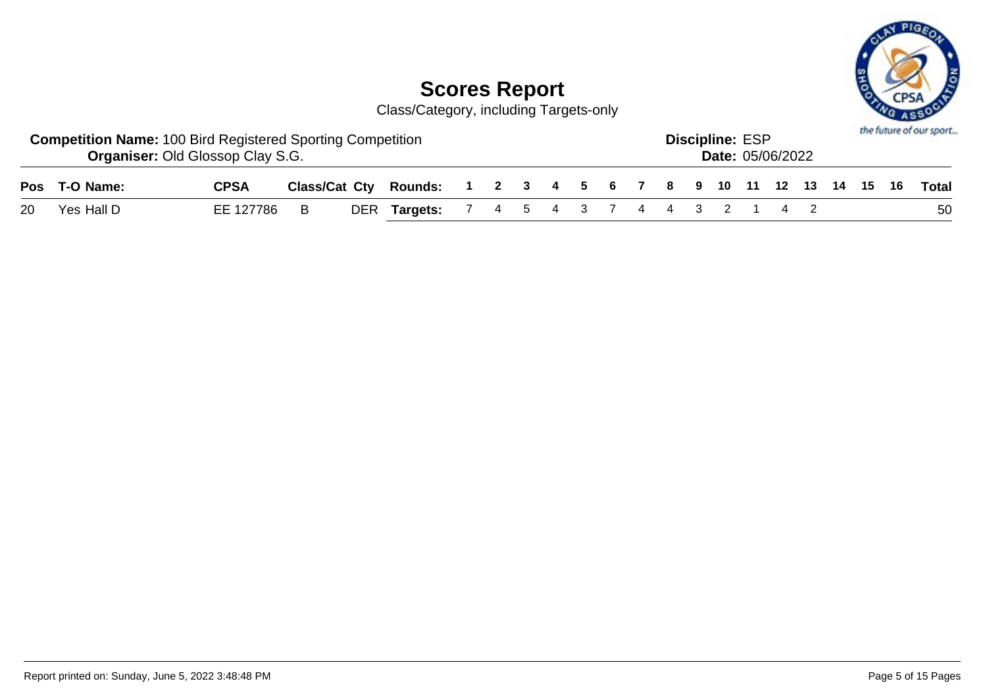

| <b>Competition Name: 100 Bird Registered Sporting Competition</b><br><b>Organiser: Old Glossop Clay S.G.</b> |             |  |                                                                    |  |  |  |  | <b>Discipline: ESP</b> | <b>Date: 05/06/2022</b> |  |  | the future of our sport |
|--------------------------------------------------------------------------------------------------------------|-------------|--|--------------------------------------------------------------------|--|--|--|--|------------------------|-------------------------|--|--|-------------------------|
| Pos T-O Name:                                                                                                | <b>CPSA</b> |  | Class/Cat Cty Rounds: 1 2 3 4 5 6 7 8 9 10 11 12 13 14 15 16 Total |  |  |  |  |                        |                         |  |  |                         |
| 20 Yes Hall D                                                                                                | EE 127786 B |  | DER Targets: 7 4 5 4 3 7 4 4 3 2 1 4 2                             |  |  |  |  |                        |                         |  |  | 50                      |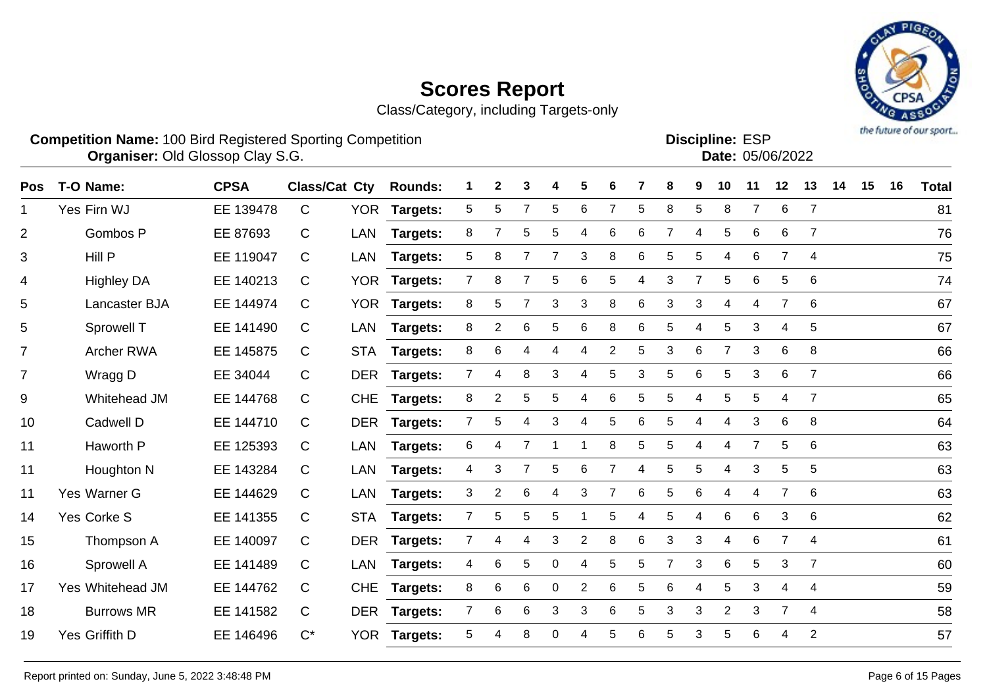Class/Category, including Targets-only



**Competition Name:** 100 Bird Registered Sporting Competition **EXP EXP Competition EXP Organiser:** Old Glossop Clay S.G. **Community Contract Contract Contract Contract Contract Contract Contract Contract Contract Contract Contract Contract Contract Contract Contract Contract Contract Contract Contract Contr** 

**Discipline:**

| וטם וטוויושיט |                  |
|---------------|------------------|
|               | Date: 05/06/2022 |
|               |                  |

| Pos            | T-O Name:               | <b>CPSA</b> | <b>Class/Cat Cty</b> |            | <b>Rounds:</b>  |                | 2              | 3              | 4 | 5              | 6              |   | 8 | 9              | 10             | 11             | 12             | 13             | 14 | 15 | 16 | <b>Total</b> |
|----------------|-------------------------|-------------|----------------------|------------|-----------------|----------------|----------------|----------------|---|----------------|----------------|---|---|----------------|----------------|----------------|----------------|----------------|----|----|----|--------------|
| 1              | Yes Firn WJ             | EE 139478   | C                    | <b>YOR</b> | Targets:        | 5              | 5              | 7              | 5 | 6              | 7              | 5 | 8 | 5              | 8              | 7              | 6              | $\overline{7}$ |    |    |    | 81           |
| $\overline{2}$ | Gombos P                | EE 87693    | C                    | LAN        | Targets:        | 8              |                | 5              | 5 | 4              | 6              | 6 | 7 | 4              | 5              | 6              | 6              | $\overline{7}$ |    |    |    | 76           |
| 3              | Hill P                  | EE 119047   | C                    | <b>LAN</b> | Targets:        | 5              | 8              | 7              | 7 | 3              | 8              | 6 | 5 | 5              | 4              | 6              | $\overline{7}$ | $\overline{4}$ |    |    |    | 75           |
| 4              | <b>Highley DA</b>       | EE 140213   | C                    | <b>YOR</b> | <b>Targets:</b> | $\overline{7}$ | 8              | 7              | 5 | 6              | 5              | 4 | 3 | $\overline{7}$ | 5              | 6              | 5              | 6              |    |    |    | 74           |
| 5              | Lancaster BJA           | EE 144974   | C                    | <b>YOR</b> | <b>Targets:</b> | 8              | 5              | $\overline{7}$ | 3 | 3              | 8              | 6 | 3 | 3              | $\overline{4}$ | 4              | $\overline{7}$ | 6              |    |    |    | 67           |
| 5              | Sprowell T              | EE 141490   | C                    | LAN        | Targets:        | 8              | $\overline{2}$ | 6              | 5 | 6              | 8              | 6 | 5 | 4              | 5              | 3              | 4              | 5              |    |    |    | 67           |
| $\overline{7}$ | <b>Archer RWA</b>       | EE 145875   | C                    | <b>STA</b> | <b>Targets:</b> | 8              | 6              | 4              | 4 | 4              | 2              | 5 | 3 | 6              | 7              | 3              | 6              | 8              |    |    |    | 66           |
| $\overline{7}$ | Wragg D                 | EE 34044    | C                    | <b>DER</b> | <b>Targets:</b> | $\overline{7}$ | 4              | 8              | 3 | 4              | 5              | 3 | 5 | 6              | 5              | 3              | 6              | $\overline{7}$ |    |    |    | 66           |
| 9              | Whitehead JM            | EE 144768   | C                    | <b>CHE</b> | Targets:        | 8              | 2              | 5              | 5 | 4              | 6              | 5 | 5 | Δ              | 5              | 5              | 4              | $\overline{7}$ |    |    |    | 65           |
| 10             | Cadwell D               | EE 144710   | C                    | <b>DER</b> | Targets:        | 7              | 5              | 4              | 3 | 4              | 5              | 6 | 5 | 4              | 4              | 3              | 6              | 8              |    |    |    | 64           |
| 11             | Haworth P               | EE 125393   | C                    | LAN        | Targets:        | 6              | 4              | 7              |   | 1              | 8              | 5 | 5 | 4              | 4              | $\overline{7}$ | 5              | 6              |    |    |    | 63           |
| 11             | Houghton N              | EE 143284   | C                    | LAN        | Targets:        | 4              | 3              | $\overline{7}$ | 5 | 6              | $\overline{7}$ | 4 | 5 | 5              | 4              | 3              | 5              | 5              |    |    |    | 63           |
| 11             | Yes Warner G            | EE 144629   | C                    | <b>LAN</b> | <b>Targets:</b> | 3              | 2              | 6              | 4 | 3              | 7              | 6 | 5 | 6              | 4              | 4              | 7              | 6              |    |    |    | 63           |
| 14             | Yes Corke S             | EE 141355   | C                    | <b>STA</b> | <b>Targets:</b> | 7              | 5              | 5              | 5 |                | 5              | 4 | 5 | 4              | 6              | 6              | 3              | 6              |    |    |    | 62           |
| 15             | Thompson A              | EE 140097   | C                    | <b>DER</b> | Targets:        | 7              | 4              | 4              | 3 | $\overline{2}$ | 8              | 6 | 3 | 3              | 4              | 6              | $\overline{7}$ | 4              |    |    |    | 61           |
| 16             | Sprowell A              | EE 141489   | С                    | LAN        | <b>Targets:</b> | 4              | 6              | 5              | 0 | 4              | 5              | 5 | 7 | 3              | 6              | 5              | 3              | 7              |    |    |    | 60           |
| 17             | <b>Yes Whitehead JM</b> | EE 144762   | C                    | <b>CHE</b> | Targets:        | 8              | 6              | 6              | 0 | $\overline{2}$ | 6              | 5 | 6 | 4              | 5              | 3              | 4              | 4              |    |    |    | 59           |
| 18             | <b>Burrows MR</b>       | EE 141582   | C                    | <b>DER</b> | <b>Targets:</b> | 7              | 6              | 6              | 3 | 3              | 6              | 5 | 3 | 3              | $\overline{2}$ | 3              | 7              | $\overline{4}$ |    |    |    | 58           |
| 19             | Yes Griffith D          | EE 146496   | $C^*$                | <b>YOR</b> | <b>Targets:</b> | 5              |                | 8              | 0 | 4              | 5              | 6 | 5 | 3              | 5              | 6              | 4              | $\overline{2}$ |    |    |    | 57           |
|                |                         |             |                      |            |                 |                |                |                |   |                |                |   |   |                |                |                |                |                |    |    |    |              |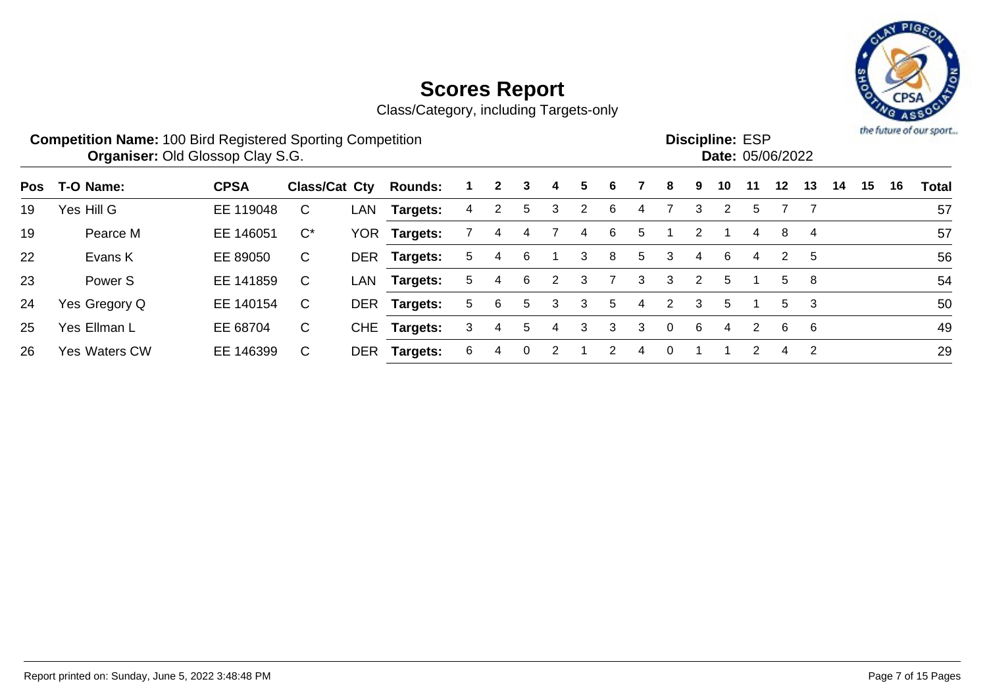

|            | <b>Competition Name: 100 Bird Registered Sporting Competition</b> | <b>Organiser: Old Glossop Clay S.G.</b> |                      |            |                 |    |   |          |   |                |   |   |          |   | <b>Discipline: ESP</b><br><b>Date: 05/06/2022</b> |    |                |                |    |    |    | the future of our sport |
|------------|-------------------------------------------------------------------|-----------------------------------------|----------------------|------------|-----------------|----|---|----------|---|----------------|---|---|----------|---|---------------------------------------------------|----|----------------|----------------|----|----|----|-------------------------|
| <b>Pos</b> | T-O Name:                                                         | <b>CPSA</b>                             | <b>Class/Cat Cty</b> |            | <b>Rounds:</b>  |    |   | 3        | 4 | 5.             | 6 |   | 8        | 9 | 10                                                | 11 | 12             | 13             | 14 | 15 | 16 | <b>Total</b>            |
| 19         | Yes Hill G                                                        | EE 119048                               | С                    | LAN        | Targets:        | 4  |   | 5        | 3 | $\overline{2}$ | 6 | 4 |          | 3 | 2                                                 | 5  |                |                |    |    |    | 57                      |
| 19         | Pearce M                                                          | EE 146051                               | $C^*$                | YOR.       | Targets:        |    | 4 | 4        |   | 4              | 6 | 5 |          | 2 |                                                   | 4  | 8              | $\overline{4}$ |    |    |    | 57                      |
| 22         | Evans K                                                           | EE 89050                                | C                    | <b>DER</b> | Targets:        | 5. | 4 | -6       |   | 3              | 8 | 5 | 3        | 4 | 6                                                 | 4  | 2              | 5              |    |    |    | 56                      |
| 23         | Power <sub>S</sub>                                                | EE 141859                               | C                    | LAN        | <b>Targets:</b> | 5. | 4 | 6        | 2 | 3              |   | 3 | 3        | 2 | 5                                                 |    | 5              | 8              |    |    |    | 54                      |
| 24         | Yes Gregory Q                                                     | EE 140154                               | C                    |            | DER Targets:    | 5. | 6 | 5        | 3 | 3              | 5 | 4 | 2        | 3 | 5                                                 |    | 5              | 3              |    |    |    | 50                      |
| 25         | Yes Ellman L                                                      | EE 68704                                | C.                   | <b>CHE</b> | Targets:        | 3  | 4 | 5        | 4 | 3              | 3 | 3 | $\Omega$ | 6 | 4                                                 | 2  | 6              | 6              |    |    |    | 49                      |
| 26         | <b>Yes Waters CW</b>                                              | EE 146399                               | С                    | DER        | Targets:        | 6  |   | $\Omega$ |   |                | 2 | 4 | 0        |   |                                                   |    | $\overline{4}$ | 2              |    |    |    | 29                      |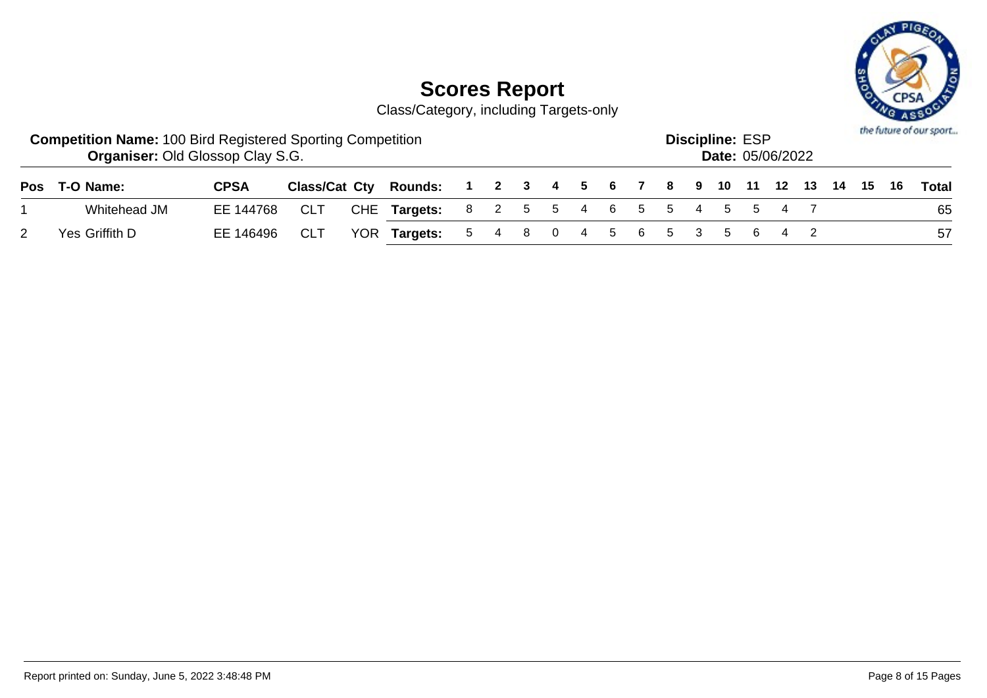

| <b>Competition Name: 100 Bird Registered Sporting Competition</b><br><b>Organiser: Old Glossop Clay S.G.</b> |             |            |                                                              |  |  |  |  | <b>Discipline: ESP</b> | <b>Date: 05/06/2022</b> |  |  | the future of our sport |
|--------------------------------------------------------------------------------------------------------------|-------------|------------|--------------------------------------------------------------|--|--|--|--|------------------------|-------------------------|--|--|-------------------------|
| Pos T-O Name:                                                                                                | <b>CPSA</b> |            | Class/Cat Cty Rounds: 1 2 3 4 5 6 7 8 9 10 11 12 13 14 15 16 |  |  |  |  |                        |                         |  |  | Total                   |
| Whitehead JM                                                                                                 | EE 144768   | <b>CLT</b> | CHE Targets: 8 2 5 5 4 6 5 5 4 5 5 4 7                       |  |  |  |  |                        |                         |  |  | 65                      |
| Yes Griffith D                                                                                               | EE 146496   | <b>CLT</b> | YOR Targets: 5 4 8 0 4 5 6 5 3 5 6 4 2                       |  |  |  |  |                        |                         |  |  | -57                     |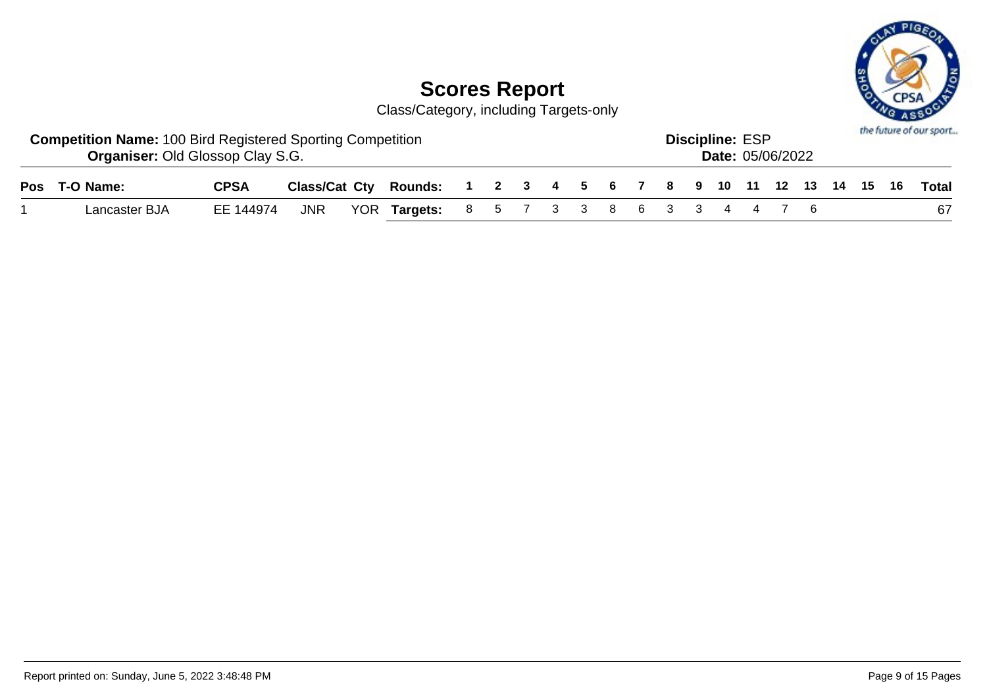

| <b>Competition Name: 100 Bird Registered Sporting Competition</b><br><b>Organiser: Old Glossop Clay S.G.</b> |             |  |                                                                    |  |  |  |  | <b>Discipline: ESP</b> | <b>Date: 05/06/2022</b> |  |  | the future of our sport |
|--------------------------------------------------------------------------------------------------------------|-------------|--|--------------------------------------------------------------------|--|--|--|--|------------------------|-------------------------|--|--|-------------------------|
| Pos T-O Name:                                                                                                | <b>CPSA</b> |  | Class/Cat Cty Rounds: 1 2 3 4 5 6 7 8 9 10 11 12 13 14 15 16 Total |  |  |  |  |                        |                         |  |  |                         |
| Lancaster BJA                                                                                                | EE 144974   |  | JNR YOR Targets: 8 5 7 3 3 8 6 3 3 4 4 7 6                         |  |  |  |  |                        |                         |  |  | 67                      |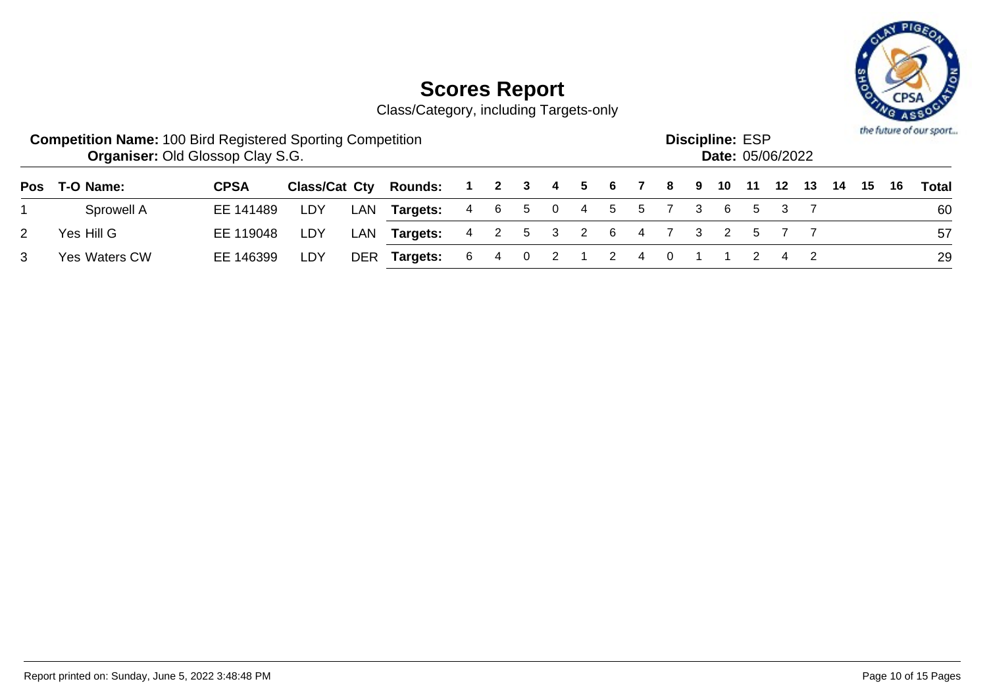

| <b>Competition Name: 100 Bird Registered Sporting Competition</b> | <b>Organiser: Old Glossop Clay S.G.</b> |     |     |                              |                      |  |  |  |                           | <b>Discipline: ESP</b><br><b>Date: 05/06/2022</b> |       |       |       |       |      | the future of our sport |
|-------------------------------------------------------------------|-----------------------------------------|-----|-----|------------------------------|----------------------|--|--|--|---------------------------|---------------------------------------------------|-------|-------|-------|-------|------|-------------------------|
| Pos T-O Name:                                                     | <b>CPSA</b>                             |     |     | <b>Class/Cat Cty Rounds:</b> | 1 2 3 4 5 6 7 8 9 10 |  |  |  |                           |                                                   | $-11$ |       | 12 13 | 14 15 | - 16 | Total                   |
| Sprowell A                                                        | EE 141489                               | LDY | LAN | Targets:                     |                      |  |  |  | 4 6 5 0 4 5 5 7 3 6       |                                                   |       | 5 3 7 |       |       |      | 60                      |
| Yes Hill G                                                        | EE 119048                               | LDY |     | LAN <b>Targets:</b>          |                      |  |  |  | 4 2 5 3 2 6 4 7 3 2 5 7 7 |                                                   |       |       |       |       |      | 57                      |
| Yes Waters CW                                                     | EE 146399                               | LDY | DER | Targets:                     | 64                   |  |  |  |                           |                                                   |       |       |       |       |      | 29                      |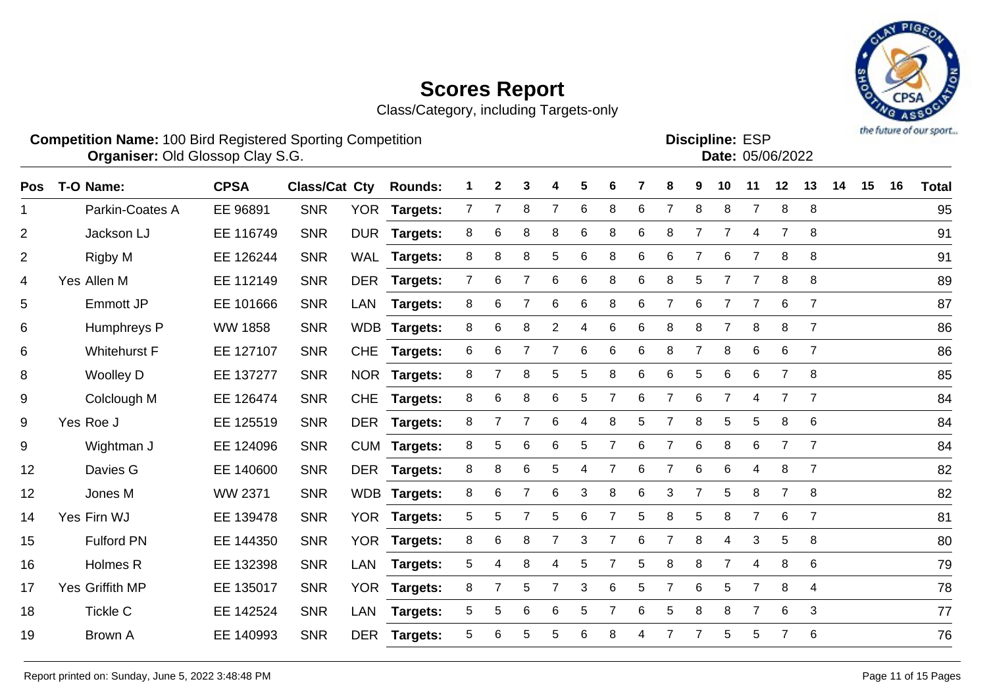

| <b>Competition Name: 100 Bird Registered Sporting Competition</b> | <b>Organiser: Old Glossop Clay S.G.</b> |  |  |  |  |  |  | <b>Discipline: ESP</b>                 | <b>Date: 05/06/2022</b> |  |  | the future of our sport |
|-------------------------------------------------------------------|-----------------------------------------|--|--|--|--|--|--|----------------------------------------|-------------------------|--|--|-------------------------|
| Pos T-O Name:                                                     |                                         |  |  |  |  |  |  | 1 2 3 4 5 6 7 8 9 10 11 12 13 14 15 16 | <b>Total</b>            |  |  |                         |

| ros              | <b>1-0 name:</b>    | <b>UPSA</b>    | Glass/Gat Gty |            | <b>ROUNDS:</b>  |                | ∠              | J               |                | ີ | O              |   | $\bullet$      | ັ               | ΙV             | <b>II</b>      | $\mathbf{Z}$   | IJ             | 14. | IJ | $\overline{1}$ | <u>i otal</u> |
|------------------|---------------------|----------------|---------------|------------|-----------------|----------------|----------------|-----------------|----------------|---|----------------|---|----------------|-----------------|----------------|----------------|----------------|----------------|-----|----|----------------|---------------|
| $\mathbf 1$      | Parkin-Coates A     | EE 96891       | <b>SNR</b>    |            | YOR Targets:    | $\overline{7}$ | $\overline{7}$ | 8               | $\overline{7}$ | 6 | 8              | 6 | $\overline{7}$ | 8               | 8              | $\overline{7}$ | 8              | 8              |     |    |                | 95            |
| 2                | Jackson LJ          | EE 116749      | <b>SNR</b>    |            | DUR Targets:    | 8              | 6              | 8               | 8              | 6 | 8              | 6 | 8              | $\overline{7}$  | $\overline{7}$ | 4              | 7              | 8              |     |    |                | 91            |
| $\overline{2}$   | Rigby M             | EE 126244      | <b>SNR</b>    | WAL        | <b>Targets:</b> | 8              | 8              | 8               | 5              | 6 | 8              | 6 | 6              | $\overline{7}$  | 6              | $\overline{7}$ | 8              | 8              |     |    |                | 91            |
| 4                | Yes Allen M         | EE 112149      | <b>SNR</b>    |            | DER Targets:    | $\overline{7}$ | 6              | $\overline{7}$  | 6              | 6 | 8              | 6 | 8              | 5               |                | $\overline{7}$ | 8              | 8              |     |    |                | 89            |
| 5                | Emmott JP           | EE 101666      | <b>SNR</b>    | LAN        | <b>Targets:</b> | 8              | 6              | $\overline{7}$  | 6              | 6 | 8              | 6 | $\overline{7}$ | $6\phantom{1}6$ |                | $\overline{7}$ | $\,6$          | $\overline{7}$ |     |    |                | 87            |
| 6                | Humphreys P         | <b>WW 1858</b> | <b>SNR</b>    | <b>WDB</b> | Targets:        | 8              | 6              | 8               | $\overline{2}$ | 4 | 6              | 6 | 8              | 8               |                | 8              | 8              | $\overline{7}$ |     |    |                | 86            |
| 6                | <b>Whitehurst F</b> | EE 127107      | <b>SNR</b>    | <b>CHE</b> | Targets:        | 6              | 6              |                 |                | 6 | 6              | 6 | 8              | 7               | 8              | 6              | 6              | $\overline{7}$ |     |    |                | 86            |
| 8                | <b>Woolley D</b>    | EE 137277      | <b>SNR</b>    | <b>NOR</b> | Targets:        | 8              |                | 8               | 5              | 5 | 8              | 6 | 6              | 5               | 6              | 6              | 7              | 8              |     |    |                | 85            |
| 9                | Colclough M         | EE 126474      | <b>SNR</b>    | <b>CHE</b> | <b>Targets:</b> | 8              | 6              | 8               | 6              | 5 |                | 6 | 7              | 6               |                | 4              |                | $\overline{7}$ |     |    |                | 84            |
| 9                | Yes Roe J           | EE 125519      | <b>SNR</b>    | DER        | Targets:        | 8              | $\overline{7}$ | 7               | 6              | 4 | 8              | 5 | $\overline{7}$ | 8               | 5              | 5              | 8              | 6              |     |    |                | 84            |
| $\boldsymbol{9}$ | Wightman J          | EE 124096      | <b>SNR</b>    |            | CUM Targets:    | 8              | 5              | 6               | 6              | 5 | 7              | 6 | $\overline{7}$ | 6               | 8              | 6              | $\overline{7}$ | $\overline{7}$ |     |    |                | 84            |
| 12               | Davies G            | EE 140600      | <b>SNR</b>    |            | DER Targets:    | 8              | 8              | $6\phantom{1}6$ | 5              | 4 | $\overline{7}$ | 6 | $\overline{7}$ | 6               | $\,6$          | 4              | 8              | $\overline{7}$ |     |    |                | 82            |
| 12               | Jones M             | WW 2371        | <b>SNR</b>    |            | WDB Targets:    | 8              | 6              |                 | 6              | 3 | 8              | 6 | 3              | $\overline{7}$  | 5              | 8              | $\overline{7}$ | 8              |     |    |                | 82            |
| 14               | Yes Firn WJ         | EE 139478      | <b>SNR</b>    |            | YOR Targets:    | 5              | 5              | $\overline{7}$  | 5              | 6 | 7              | 5 | 8              | 5               | 8              | $\overline{7}$ | 6              | $\overline{7}$ |     |    |                | 81            |
| 15               | <b>Fulford PN</b>   | EE 144350      | <b>SNR</b>    | <b>YOR</b> | Targets:        | 8              | 6              | 8               | $\overline{7}$ | 3 | $\overline{7}$ | 6 | $\overline{7}$ | 8               | $\overline{4}$ | 3              | 5              | 8              |     |    |                | 80            |
| 16               | Holmes R            | EE 132398      | <b>SNR</b>    | LAN        | <b>Targets:</b> | 5              | 4              | 8               | 4              | 5 |                | 5 | 8              | 8               | $\overline{7}$ | 4              | 8              | 6              |     |    |                | 79            |
| 17               | Yes Griffith MP     | EE 135017      | <b>SNR</b>    |            | YOR Targets:    | 8              | 7              | 5               | 7              | 3 | 6              | 5 | 7              | 6               | 5              | $\overline{7}$ | 8              | 4              |     |    |                | 78            |
| 18               | <b>Tickle C</b>     | EE 142524      | <b>SNR</b>    | LAN        | Targets:        | 5              | 5              | 6               | 6              | 5 |                | 6 | 5              | 8               | 8              | $\overline{7}$ | 6              | 3              |     |    |                | 77            |
| 19               | <b>Brown A</b>      | EE 140993      | <b>SNR</b>    | <b>DER</b> | <b>Targets:</b> | 5              | 6              | 5               | 5              | 6 | 8              | 4 |                | 7               | 5              | 5              |                | 6              |     |    |                | 76            |
|                  |                     |                |               |            |                 |                |                |                 |                |   |                |   |                |                 |                |                |                |                |     |    |                |               |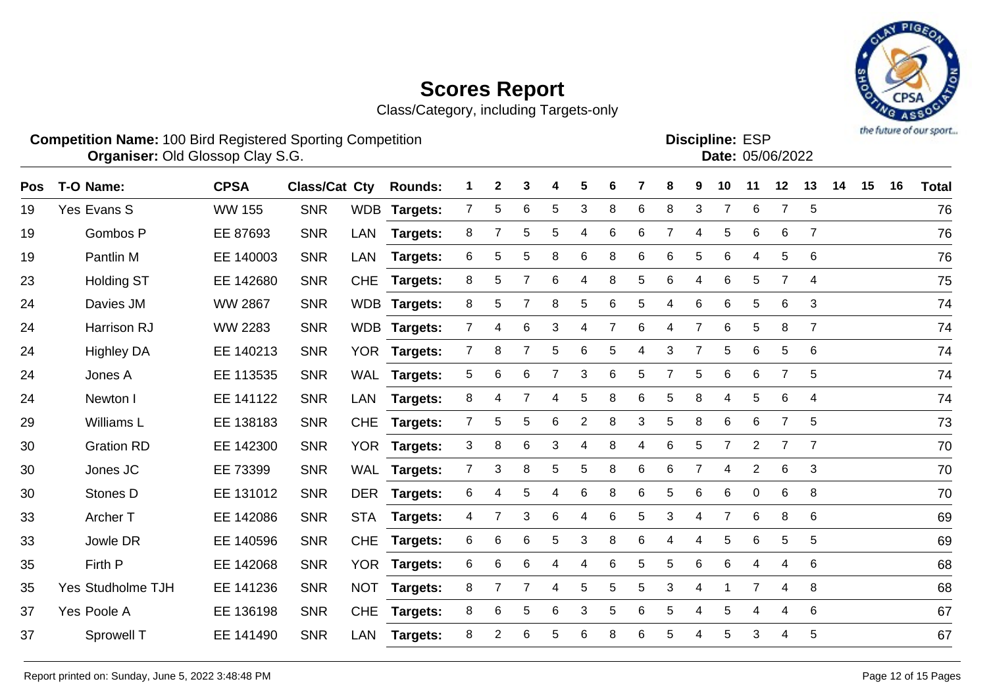

| <b>Competition Name: 100 Bird Registered Sporting Competition</b> | <b>Discipline: ESP</b>  |
|-------------------------------------------------------------------|-------------------------|
| <b>Organiser: Old Glossop Clay S.G.</b>                           | <b>Date: 05/06/2022</b> |
|                                                                   |                         |

| <b>Pos</b> | T-O Name:         | <b>CPSA</b>    | <b>Class/Cat Cty</b> |            | <b>Rounds:</b>  |                | 2              | 3              |                | 5              | 6 |                 | 8 | 9              | 10              | 11             | 12             | 13             | 14 | 15 | 16 | <b>Total</b> |
|------------|-------------------|----------------|----------------------|------------|-----------------|----------------|----------------|----------------|----------------|----------------|---|-----------------|---|----------------|-----------------|----------------|----------------|----------------|----|----|----|--------------|
| 19         | Yes Evans S       | <b>WW 155</b>  | <b>SNR</b>           | <b>WDB</b> | <b>Targets:</b> | $\mathbf{7}$   | 5              | 6              | 5              | 3              | 8 | 6               | 8 | 3              | 7               | 6              | 7              | 5              |    |    |    | 76           |
| 19         | Gombos P          | EE 87693       | <b>SNR</b>           | <b>LAN</b> | Targets:        | 8              | 7              | 5              | 5              | 4              | 6 | 6               | 7 | 4              | 5               | 6              | 6              | $\overline{7}$ |    |    |    | 76           |
| 19         | Pantlin M         | EE 140003      | <b>SNR</b>           | <b>LAN</b> | Targets:        | 6              | 5              | 5              | 8              | 6              | 8 | 6               | 6 | 5              | $6\phantom{1}6$ | 4              | 5              | 6              |    |    |    | 76           |
| 23         | <b>Holding ST</b> | EE 142680      | <b>SNR</b>           | <b>CHE</b> | Targets:        | 8              | 5              |                | 6              | 4              | 8 | 5               | 6 | 4              | 6               | 5              | 7              | $\overline{4}$ |    |    |    | 75           |
| 24         | Davies JM         | <b>WW 2867</b> | <b>SNR</b>           |            | WDB Targets:    | 8              | 5              | 7              | 8              | 5              | 6 | 5               | 4 | 6              | 6               | 5              | 6              | 3              |    |    |    | 74           |
| 24         | Harrison RJ       | <b>WW 2283</b> | <b>SNR</b>           |            | WDB Targets:    | $\overline{7}$ | 4              | 6              | 3              | 4              | 7 | 6               | 4 | $\overline{7}$ | $\,6$           | 5              | 8              | $\overline{7}$ |    |    |    | 74           |
| 24         | <b>Highley DA</b> | EE 140213      | <b>SNR</b>           | <b>YOR</b> | <b>Targets:</b> | $\overline{7}$ | 8              | 7              | 5              | 6              | 5 | 4               | 3 | $\overline{7}$ | 5               | 6              | 5              | 6              |    |    |    | 74           |
| 24         | Jones A           | EE 113535      | <b>SNR</b>           | <b>WAL</b> | <b>Targets:</b> | 5              | 6              | 6              | $\overline{7}$ | 3              | 6 | 5               | 7 | 5              | 6               | 6              | $\overline{7}$ | 5              |    |    |    | 74           |
| 24         | Newton I          | EE 141122      | <b>SNR</b>           | <b>LAN</b> | <b>Targets:</b> | 8              | 4              | $\overline{7}$ | 4              | 5              | 8 | 6               | 5 | 8              | 4               | 5              | 6              | 4              |    |    |    | 74           |
| 29         | Williams L        | EE 138183      | <b>SNR</b>           | <b>CHE</b> | <b>Targets:</b> | $\overline{7}$ | 5              | 5              | 6              | $\overline{2}$ | 8 | 3               | 5 | 8              | $\,6$           | 6              | $\overline{7}$ | 5              |    |    |    | 73           |
| 30         | <b>Gration RD</b> | EE 142300      | <b>SNR</b>           | <b>YOR</b> | <b>Targets:</b> | 3              | 8              | 6              | 3              | 4              | 8 | 4               | 6 | 5              | $\overline{7}$  | $\overline{2}$ | $\overline{7}$ | $\overline{7}$ |    |    |    | 70           |
| 30         | Jones JC          | EE 73399       | <b>SNR</b>           | <b>WAL</b> | Targets:        | $\overline{7}$ | 3              | 8              | 5              | 5              | 8 | 6               | 6 | 7              | $\overline{4}$  | $\overline{2}$ | 6              | 3              |    |    |    | 70           |
| 30         | Stones D          | EE 131012      | <b>SNR</b>           | <b>DER</b> | <b>Targets:</b> | 6              | 4              | 5              | 4              | $\,6$          | 8 | 6               | 5 | 6              | $\,6$           | $\mathsf 0$    | 6              | 8              |    |    |    | 70           |
| 33         | Archer T          | EE 142086      | <b>SNR</b>           | <b>STA</b> | Targets:        | 4              | $\overline{7}$ | 3              | 6              | 4              | 6 | 5               | 3 | 4              | $\overline{7}$  | 6              | 8              | 6              |    |    |    | 69           |
| 33         | Jowle DR          | EE 140596      | <b>SNR</b>           | <b>CHE</b> | Targets:        | 6              | 6              | $\,6$          | $\overline{5}$ | 3              | 8 | $6\phantom{1}6$ | 4 | 4              | 5               | 6              | 5              | 5              |    |    |    | 69           |
| 35         | Firth P           | EE 142068      | <b>SNR</b>           | <b>YOR</b> | <b>Targets:</b> | 6              | 6              | 6              | 4              | 4              | 6 | 5               | 5 | 6              | 6               | 4              | 4              | 6              |    |    |    | 68           |
| 35         | Yes Studholme TJH | EE 141236      | <b>SNR</b>           | <b>NOT</b> | Targets:        | 8              | 7              | $\overline{7}$ | 4              | 5              | 5 | 5               | 3 | 4              |                 | $\overline{7}$ | 4              | 8              |    |    |    | 68           |
| 37         | Yes Poole A       | EE 136198      | <b>SNR</b>           | <b>CHE</b> | <b>Targets:</b> | 8              | 6              | 5              | 6              | 3              | 5 | 6               | 5 | 4              | 5               | 4              | 4              | 6              |    |    |    | 67           |
| 37         | Sprowell T        | EE 141490      | <b>SNR</b>           | <b>LAN</b> | <b>Targets:</b> | 8              | $\overline{c}$ | 6              | 5              | $\,6$          | 8 | 6               | 5 | 4              | 5               | 3              | 4              | 5              |    |    |    | 67           |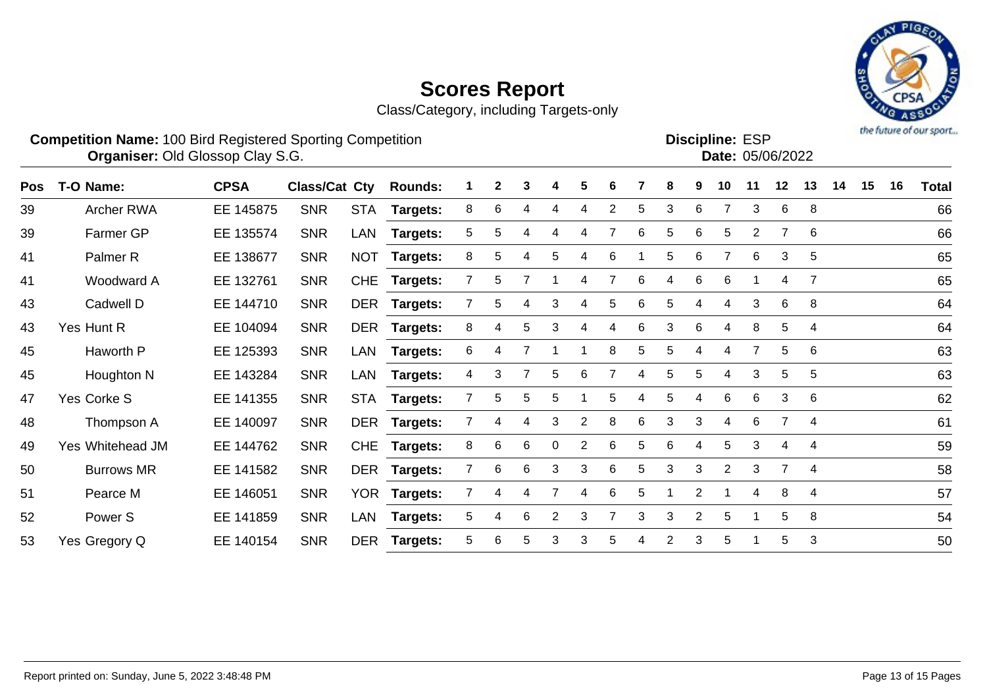

|            | <b>Competition Name: 100 Bird Registered Sporting Competition</b><br><b>Organiser: Old Glossop Clay S.G.</b> |             |               |            |                 |    |   |   |                |   |                |   |                |                | <b>Discipline: ESP</b><br>Date: 05/06/2022 |    |                | the usual or one shorts |    |    |    |              |
|------------|--------------------------------------------------------------------------------------------------------------|-------------|---------------|------------|-----------------|----|---|---|----------------|---|----------------|---|----------------|----------------|--------------------------------------------|----|----------------|-------------------------|----|----|----|--------------|
| <b>Pos</b> | T-O Name:                                                                                                    | <b>CPSA</b> | Class/Cat Cty |            | <b>Rounds:</b>  |    | 2 | 3 |                | 5 | 6              |   |                | 9              | 10                                         | 11 | 12             | 13                      | 14 | 15 | 16 | <b>Total</b> |
| 39         | Archer RWA                                                                                                   | EE 145875   | <b>SNR</b>    | <b>STA</b> | Targets:        | 8  | 6 | 4 | 4              | 4 | $\overline{c}$ | 5 | 3              | 6              |                                            | 3  | 6              | 8                       |    |    |    | 66           |
| 39         | Farmer GP                                                                                                    | EE 135574   | <b>SNR</b>    | LAN        | Targets:        | 5  | 5 | 4 | 4              | 4 |                | 6 | 5              | 6              | 5                                          | 2  | $\overline{7}$ | 6                       |    |    |    | 66           |
| 41         | Palmer <sub>R</sub>                                                                                          | EE 138677   | <b>SNR</b>    | <b>NOT</b> | Targets:        | 8  | 5 | 4 | 5              | 4 | 6              |   | 5              | 6              | 7                                          | 6  | 3              | $\overline{5}$          |    |    |    | 65           |
| 41         | Woodward A                                                                                                   | EE 132761   | <b>SNR</b>    | <b>CHE</b> | <b>Targets:</b> |    | 5 |   |                | 4 |                | 6 |                | 6              | 6                                          |    | 4              | $\overline{7}$          |    |    |    | 65           |
| 43         | Cadwell D                                                                                                    | EE 144710   | <b>SNR</b>    | <b>DER</b> | <b>Targets:</b> |    | 5 | 4 | 3              | 4 | 5              | 6 | 5              |                | 4                                          | 3  | 6              | 8                       |    |    |    | 64           |
| 43         | Yes Hunt R                                                                                                   | EE 104094   | <b>SNR</b>    | <b>DER</b> | <b>Targets:</b> | 8  | 4 | 5 | 3              | 4 | 4              | 6 | 3              | 6              | 4                                          | 8  | 5              | $\overline{4}$          |    |    |    | 64           |
| 45         | Haworth P                                                                                                    | EE 125393   | <b>SNR</b>    | LAN        | <b>Targets:</b> | 6  | 4 |   |                |   | 8              | 5 | 5              | 4              | 4                                          |    | 5              | 6                       |    |    |    | 63           |
| 45         | Houghton N                                                                                                   | EE 143284   | <b>SNR</b>    | LAN        | <b>Targets:</b> | 4  | 3 |   | 5              | 6 |                | 4 | 5              | 5              | 4                                          | 3  | 5              | 5                       |    |    |    | 63           |
| 47         | Yes Corke S                                                                                                  | EE 141355   | <b>SNR</b>    | <b>STA</b> | Targets:        |    | 5 | 5 | 5              |   | 5              | 4 | 5              | 4              | 6                                          | 6  | 3              | 6                       |    |    |    | 62           |
| 48         | Thompson A                                                                                                   | EE 140097   | <b>SNR</b>    | <b>DER</b> | <b>Targets:</b> |    | 4 | 4 | 3              | 2 | 8              | 6 | 3              | 3              | 4                                          | 6  | 7              | 4                       |    |    |    | 61           |
| 49         | Yes Whitehead JM                                                                                             | EE 144762   | <b>SNR</b>    | <b>CHE</b> | <b>Targets:</b> | 8  | 6 | 6 | $\Omega$       | 2 | 6              | 5 | 6              | 4              | 5                                          | 3  | 4              | 4                       |    |    |    | 59           |
| 50         | <b>Burrows MR</b>                                                                                            | EE 141582   | <b>SNR</b>    | <b>DER</b> | <b>Targets:</b> |    | 6 | 6 | 3              | 3 | 6              | 5 | 3              | 3              | 2                                          | 3  | $\overline{7}$ | 4                       |    |    |    | 58           |
| 51         | Pearce M                                                                                                     | EE 146051   | <b>SNR</b>    |            | YOR Targets:    |    | 4 | 4 |                | 4 | 6              | 5 |                | $\overline{2}$ |                                            | 4  | 8              | $\overline{4}$          |    |    |    | 57           |
| 52         | Power <sub>S</sub>                                                                                           | EE 141859   | <b>SNR</b>    | LAN        | <b>Targets:</b> | 5  | 4 | 6 | $\overline{2}$ | 3 |                | 3 | 3              | $\overline{2}$ | 5                                          |    | 5              | 8                       |    |    |    | 54           |
| 53         | Yes Gregory Q                                                                                                | EE 140154   | <b>SNR</b>    | <b>DER</b> | Targets:        | 5. | 6 | 5 | 3              | 3 | 5              | 4 | $\overline{2}$ | 3              | 5                                          |    | 5              | 3                       |    |    |    | 50           |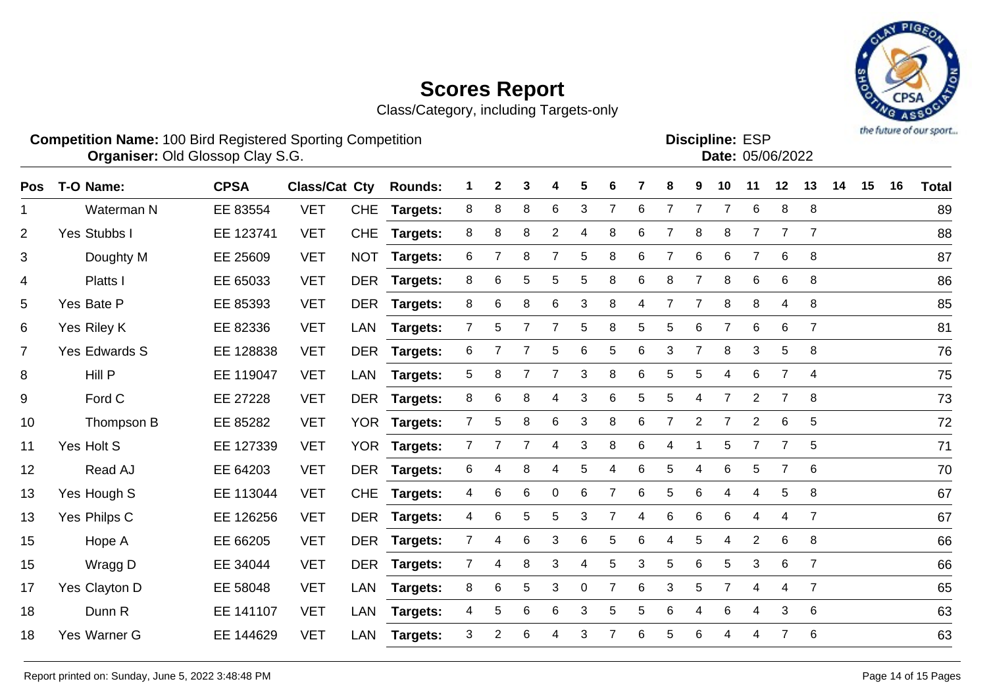Class/Category, including Targets-only



**Discipline:**

**Competition Name:** 100 Bird Registered Sporting Competition **EXP EXP Competition EXP Organiser:** Old Glossop Clay S.G. **Community Contract Contract Contract Contract Contract Contract Contract Contract Contract Contract Contract Contract Contract Contract Contract Contract Contract Contract Contract Contr** 

Pos T-O-Name: CPSA Class/Cat Cty Rounds: 1 2 3 4 5 6 7 8 9 10 11 12 13 14 15 16 Total Waterman N EE 83554 VET CHE **Targets:** 8 8 8 6 3 7 6 7 7 7 6 8 8 89 Yes Stubbs I EE 123741 VET CHE **Targets:** 8 8 8 2 4 8 6 7 8 8 7 7 7 88 Doughty M EE 25609 VET NOT **Targets:** 6 7 8 7 5 8 6 7 6 6 7 6 8 87 Platts I EE 65033 VET DER **Targets:** 8 6 5 5 5 8 6 8 7 8 6 6 8 86 Yes Bate P EE 85393 VET DER **Targets:** 8 6 8 6 3 8 4 7 7 8 8 4 8 85 Yes Riley K EE 82336 VET LAN **Targets:** 7 5 7 7 5 8 5 5 6 7 6 6 7 81 Yes Edwards S EE 128838 VET DER **Targets:** 6 7 7 5 6 5 6 3 7 8 3 5 8 76 Hill P EE 119047 VET LAN **Targets:** 5 8 7 7 3 8 6 5 5 4 6 7 4 75 Ford C EE 27228 VET DER **Targets:** 8 6 8 4 3 6 5 5 4 7 2 7 8 73 Thompson B EE 85282 VET YOR **Targets:** 7 5 8 6 3 8 6 7 2 7 2 6 5 72 Yes Holt S EE 127339 VET YOR **Targets:** 7 7 7 4 3 8 6 4 1 5 7 7 5 71 Read AJ EE 64203 VET DER **Targets:** 6 4 8 4 5 4 6 5 4 6 5 7 6 70 Yes Hough S EE 113044 VET CHE **Targets:** 4 6 6 0 6 7 6 5 6 4 4 5 8 67 Yes Philps C EE 126256 VET DER **Targets:** 4 6 5 5 3 7 4 6 6 6 4 4 7 67 Hope A EE 66205 VET DER **Targets:** 7 4 6 3 6 5 6 4 5 4 2 6 8 66 Wragg D EE 34044 VET DER **Targets:** 7 4 8 3 4 5 3 5 6 5 3 6 7 66 Yes Clayton D EE 58048 VET LAN **Targets:** 8 6 5 3 0 7 6 3 5 7 4 4 7 65 Dunn R EE 141107 VET LAN **Targets:** 4 5 6 6 3 5 5 6 4 6 4 3 6 63 Yes Warner G EE 144629 VET LAN **Targets:** 3 2 6 4 3 7 6 5 6 4 4 7 6 63